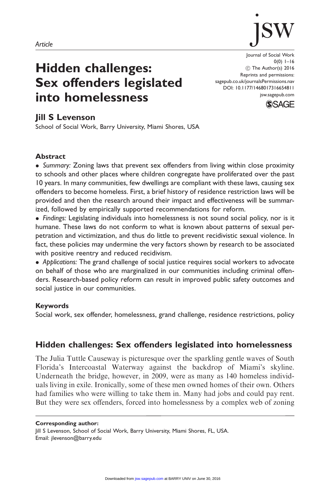

# Hidden challenges: Sex offenders legislated into homelessness

Journal of Social Work 0(0) 1–16 (C) The Author(s) 2016 Reprints and permissions: sagepub.co.uk/journalsPermissions.nav DOI: 10.1177/1468017316654811 jsw.sagepub.com



# Jill S Levenson

School of Social Work, Barry University, Miami Shores, USA

## Abstract

• Summary: Zoning laws that prevent sex offenders from living within close proximity to schools and other places where children congregate have proliferated over the past 10 years. In many communities, few dwellings are compliant with these laws, causing sex offenders to become homeless. First, a brief history of residence restriction laws will be provided and then the research around their impact and effectiveness will be summarized, followed by empirically supported recommendations for reform.

- Findings: Legislating individuals into homelessness is not sound social policy, nor is it humane. These laws do not conform to what is known about patterns of sexual perpetration and victimization, and thus do little to prevent recidivistic sexual violence. In fact, these policies may undermine the very factors shown by research to be associated with positive reentry and reduced recidivism.

- Applications: The grand challenge of social justice requires social workers to advocate on behalf of those who are marginalized in our communities including criminal offenders. Research-based policy reform can result in improved public safety outcomes and social justice in our communities.

## Keywords

Social work, sex offender, homelessness, grand challenge, residence restrictions, policy

# Hidden challenges: Sex offenders legislated into homelessness

The Julia Tuttle Causeway is picturesque over the sparkling gentle waves of South Florida's Intercoastal Waterway against the backdrop of Miami's skyline. Underneath the bridge, however, in 2009, were as many as 140 homeless individuals living in exile. Ironically, some of these men owned homes of their own. Others had families who were willing to take them in. Many had jobs and could pay rent. But they were sex offenders, forced into homelessness by a complex web of zoning

#### Corresponding author:

Jill S Levenson, School of Social Work, Barry University, Miami Shores, FL, USA. Email: jlevenson@barry.edu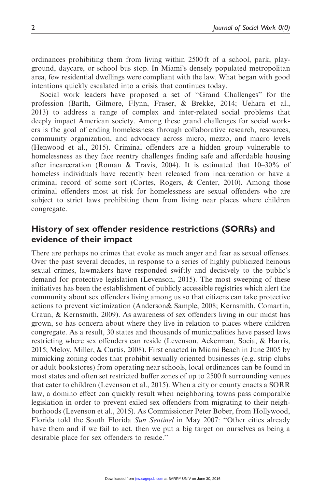ordinances prohibiting them from living within 2500 ft of a school, park, playground, daycare, or school bus stop. In Miami's densely populated metropolitan area, few residential dwellings were compliant with the law. What began with good intentions quickly escalated into a crisis that continues today.

Social work leaders have proposed a set of ''Grand Challenges'' for the profession (Barth, Gilmore, Flynn, Fraser, & Brekke, 2014; Uehara et al., 2013) to address a range of complex and inter-related social problems that deeply impact American society. Among these grand challenges for social workers is the goal of ending homelessness through collaborative research, resources, community organization, and advocacy across micro, mezzo, and macro levels (Henwood et al., 2015). Criminal offenders are a hidden group vulnerable to homelessness as they face reentry challenges finding safe and affordable housing after incarceration (Roman & Travis, 2004). It is estimated that  $10-30\%$  of homeless individuals have recently been released from incarceration or have a criminal record of some sort (Cortes, Rogers, & Center, 2010). Among those criminal offenders most at risk for homelessness are sexual offenders who are subject to strict laws prohibiting them from living near places where children congregate.

# History of sex offender residence restrictions (SORRs) and evidence of their impact

There are perhaps no crimes that evoke as much anger and fear as sexual offenses. Over the past several decades, in response to a series of highly publicized heinous sexual crimes, lawmakers have responded swiftly and decisively to the public's demand for protective legislation (Levenson, 2015). The most sweeping of these initiatives has been the establishment of publicly accessible registries which alert the community about sex offenders living among us so that citizens can take protective actions to prevent victimization (Anderson& Sample, 2008; Kernsmith, Comartin, Craun, & Kernsmith, 2009). As awareness of sex offenders living in our midst has grown, so has concern about where they live in relation to places where children congregate. As a result, 30 states and thousands of municipalities have passed laws restricting where sex offenders can reside (Levenson, Ackerman, Socia, & Harris, 2015; Meloy, Miller, & Curtis, 2008). First enacted in Miami Beach in June 2005 by mimicking zoning codes that prohibit sexually oriented businesses (e.g. strip clubs or adult bookstores) from operating near schools, local ordinances can be found in most states and often set restricted buffer zones of up to 2500 ft surrounding venues that cater to children (Levenson et al., 2015). When a city or county enacts a SORR law, a domino effect can quickly result when neighboring towns pass comparable legislation in order to prevent exiled sex offenders from migrating to their neighborhoods (Levenson et al., 2015). As Commissioner Peter Bober, from Hollywood, Florida told the South Florida Sun Sentinel in May 2007: ''Other cities already have them and if we fail to act, then we put a big target on ourselves as being a desirable place for sex offenders to reside.''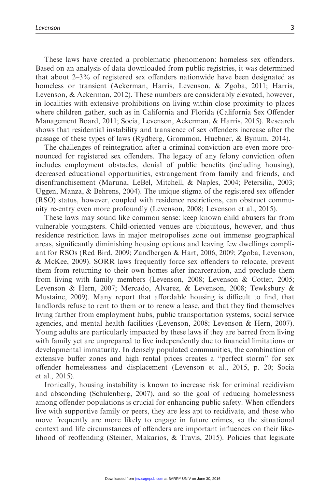These laws have created a problematic phenomenon: homeless sex offenders. Based on an analysis of data downloaded from public registries, it was determined that about 2–3% of registered sex offenders nationwide have been designated as homeless or transient (Ackerman, Harris, Levenson, & Zgoba, 2011; Harris, Levenson, & Ackerman, 2012). These numbers are considerably elevated, however, in localities with extensive prohibitions on living within close proximity to places where children gather, such as in California and Florida (California Sex Offender Management Board, 2011; Socia, Levenson, Ackerman, & Harris, 2015). Research shows that residential instability and transience of sex offenders increase after the passage of these types of laws (Rydberg, Grommon, Huebner, & Bynum, 2014).

The challenges of reintegration after a criminal conviction are even more pronounced for registered sex offenders. The legacy of any felony conviction often includes employment obstacles, denial of public benefits (including housing), decreased educational opportunities, estrangement from family and friends, and disenfranchisement (Maruna, LeBel, Mitchell, & Naples, 2004; Petersilia, 2003; Uggen, Manza, & Behrens, 2004). The unique stigma of the registered sex offender (RSO) status, however, coupled with residence restrictions, can obstruct community re-entry even more profoundly (Levenson, 2008; Levenson et al., 2015).

These laws may sound like common sense: keep known child abusers far from vulnerable youngsters. Child-oriented venues are ubiquitous, however, and thus residence restriction laws in major metropolises zone out immense geographical areas, significantly diminishing housing options and leaving few dwellings compliant for RSOs (Red Bird, 2009; Zandbergen & Hart, 2006, 2009; Zgoba, Levenson, & McKee, 2009). SORR laws frequently force sex offenders to relocate, prevent them from returning to their own homes after incarceration, and preclude them from living with family members (Levenson, 2008; Levenson & Cotter, 2005; Levenson & Hern, 2007; Mercado, Alvarez, & Levenson, 2008; Tewksbury & Mustaine, 2009). Many report that affordable housing is difficult to find, that landlords refuse to rent to them or to renew a lease, and that they find themselves living farther from employment hubs, public transportation systems, social service agencies, and mental health facilities (Levenson, 2008; Levenson & Hern, 2007). Young adults are particularly impacted by these laws if they are barred from living with family yet are unprepared to live independently due to financial limitations or developmental immaturity. In densely populated communities, the combination of extensive buffer zones and high rental prices creates a ''perfect storm'' for sex offender homelessness and displacement (Levenson et al., 2015, p. 20; Socia et al., 2015).

Ironically, housing instability is known to increase risk for criminal recidivism and absconding (Schulenberg, 2007), and so the goal of reducing homelessness among offender populations is crucial for enhancing public safety. When offenders live with supportive family or peers, they are less apt to recidivate, and those who move frequently are more likely to engage in future crimes, so the situational context and life circumstances of offenders are important influences on their likelihood of reoffending (Steiner, Makarios, & Travis, 2015). Policies that legislate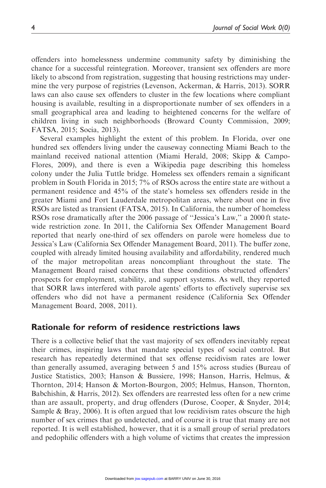offenders into homelessness undermine community safety by diminishing the chance for a successful reintegration. Moreover, transient sex offenders are more likely to abscond from registration, suggesting that housing restrictions may undermine the very purpose of registries (Levenson, Ackerman, & Harris, 2013). SORR laws can also cause sex offenders to cluster in the few locations where compliant housing is available, resulting in a disproportionate number of sex offenders in a small geographical area and leading to heightened concerns for the welfare of children living in such neighborhoods (Broward County Commission, 2009; FATSA, 2015; Socia, 2013).

Several examples highlight the extent of this problem. In Florida, over one hundred sex offenders living under the causeway connecting Miami Beach to the mainland received national attention (Miami Herald, 2008; Skipp & Campo-Flores, 2009), and there is even a Wikipedia page describing this homeless colony under the Julia Tuttle bridge. Homeless sex offenders remain a significant problem in South Florida in 2015; 7% of RSOs across the entire state are without a permanent residence and 45% of the state's homeless sex offenders reside in the greater Miami and Fort Lauderdale metropolitan areas, where about one in five RSOs are listed as transient (FATSA, 2015). In California, the number of homeless RSOs rose dramatically after the 2006 passage of ''Jessica's Law,'' a 2000 ft statewide restriction zone. In 2011, the California Sex Offender Management Board reported that nearly one-third of sex offenders on parole were homeless due to Jessica's Law (California Sex Offender Management Board, 2011). The buffer zone, coupled with already limited housing availability and affordability, rendered much of the major metropolitan areas noncompliant throughout the state. The Management Board raised concerns that these conditions obstructed offenders' prospects for employment, stability, and support systems. As well, they reported that SORR laws interfered with parole agents' efforts to effectively supervise sex offenders who did not have a permanent residence (California Sex Offender Management Board, 2008, 2011).

## Rationale for reform of residence restrictions laws

There is a collective belief that the vast majority of sex offenders inevitably repeat their crimes, inspiring laws that mandate special types of social control. But research has repeatedly determined that sex offense recidivism rates are lower than generally assumed, averaging between 5 and 15% across studies (Bureau of Justice Statistics, 2003; Hanson & Bussiere, 1998; Hanson, Harris, Helmus, & Thornton, 2014; Hanson & Morton-Bourgon, 2005; Helmus, Hanson, Thornton, Babchishin, & Harris, 2012). Sex offenders are rearrested less often for a new crime than are assault, property, and drug offenders (Durose, Cooper, & Snyder, 2014; Sample & Bray, 2006). It is often argued that low recidivism rates obscure the high number of sex crimes that go undetected, and of course it is true that many are not reported. It is well established, however, that it is a small group of serial predators and pedophilic offenders with a high volume of victims that creates the impression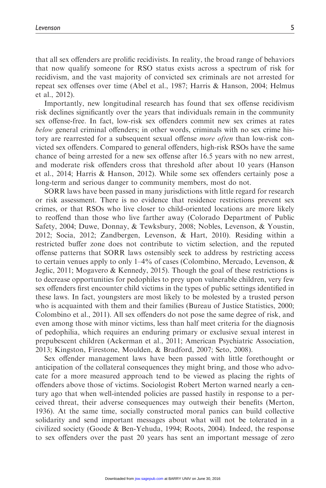that all sex offenders are prolific recidivists. In reality, the broad range of behaviors that now qualify someone for RSO status exists across a spectrum of risk for recidivism, and the vast majority of convicted sex criminals are not arrested for repeat sex offenses over time (Abel et al., 1987; Harris & Hanson, 2004; Helmus et al., 2012).

Importantly, new longitudinal research has found that sex offense recidivism risk declines significantly over the years that individuals remain in the community sex offense-free. In fact, low-risk sex offenders commit new sex crimes at rates below general criminal offenders; in other words, criminals with no sex crime history are rearrested for a subsequent sexual offense *more often* than low-risk convicted sex offenders. Compared to general offenders, high-risk RSOs have the same chance of being arrested for a new sex offense after 16.5 years with no new arrest, and moderate risk offenders cross that threshold after about 10 years (Hanson et al., 2014; Harris & Hanson, 2012). While some sex offenders certainly pose a long-term and serious danger to community members, most do not.

SORR laws have been passed in many jurisdictions with little regard for research or risk assessment. There is no evidence that residence restrictions prevent sex crimes, or that RSOs who live closer to child-oriented locations are more likely to reoffend than those who live farther away (Colorado Department of Public Safety, 2004; Duwe, Donnay, & Tewksbury, 2008; Nobles, Levenson, & Youstin, 2012; Socia, 2012; Zandbergen, Levenson, & Hart, 2010). Residing within a restricted buffer zone does not contribute to victim selection, and the reputed offense patterns that SORR laws ostensibly seek to address by restricting access to certain venues apply to only 1–4% of cases (Colombino, Mercado, Levenson, & Jeglic, 2011; Mogavero & Kennedy, 2015). Though the goal of these restrictions is to decrease opportunities for pedophiles to prey upon vulnerable children, very few sex offenders first encounter child victims in the types of public settings identified in these laws. In fact, youngsters are most likely to be molested by a trusted person who is acquainted with them and their families (Bureau of Justice Statistics, 2000; Colombino et al., 2011). All sex offenders do not pose the same degree of risk, and even among those with minor victims, less than half meet criteria for the diagnosis of pedophilia, which requires an enduring primary or exclusive sexual interest in prepubescent children (Ackerman et al., 2011; American Psychiatric Association, 2013; Kingston, Firestone, Moulden, & Bradford, 2007; Seto, 2008).

Sex offender management laws have been passed with little forethought or anticipation of the collateral consequences they might bring, and those who advocate for a more measured approach tend to be viewed as placing the rights of offenders above those of victims. Sociologist Robert Merton warned nearly a century ago that when well-intended policies are passed hastily in response to a perceived threat, their adverse consequences may outweigh their benefits (Merton, 1936). At the same time, socially constructed moral panics can build collective solidarity and send important messages about what will not be tolerated in a civilized society (Goode & Ben-Yehuda, 1994; Roots, 2004). Indeed, the response to sex offenders over the past 20 years has sent an important message of zero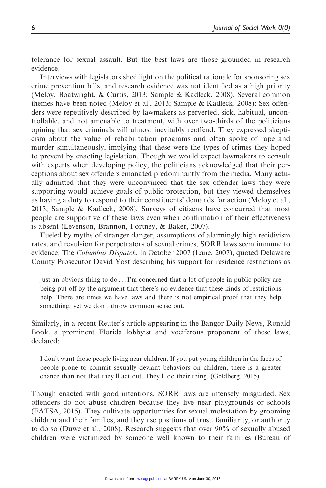tolerance for sexual assault. But the best laws are those grounded in research evidence.

Interviews with legislators shed light on the political rationale for sponsoring sex crime prevention bills, and research evidence was not identified as a high priority (Meloy, Boatwright, & Curtis, 2013; Sample & Kadleck, 2008). Several common themes have been noted (Meloy et al., 2013; Sample & Kadleck, 2008): Sex offenders were repetitively described by lawmakers as perverted, sick, habitual, uncontrollable, and not amenable to treatment, with over two-thirds of the politicians opining that sex criminals will almost inevitably reoffend. They expressed skepticism about the value of rehabilitation programs and often spoke of rape and murder simultaneously, implying that these were the types of crimes they hoped to prevent by enacting legislation. Though we would expect lawmakers to consult with experts when developing policy, the politicians acknowledged that their perceptions about sex offenders emanated predominantly from the media. Many actually admitted that they were unconvinced that the sex offender laws they were supporting would achieve goals of public protection, but they viewed themselves as having a duty to respond to their constituents' demands for action (Meloy et al., 2013; Sample & Kadleck, 2008). Surveys of citizens have concurred that most people are supportive of these laws even when confirmation of their effectiveness is absent (Levenson, Brannon, Fortney, & Baker, 2007).

Fueled by myths of stranger danger, assumptions of alarmingly high recidivism rates, and revulsion for perpetrators of sexual crimes, SORR laws seem immune to evidence. The *Columbus Dispatch*, in October 2007 (Lane, 2007), quoted Delaware County Prosecutor David Yost describing his support for residence restrictions as

just an obvious thing to do ...I'm concerned that a lot of people in public policy are being put off by the argument that there's no evidence that these kinds of restrictions help. There are times we have laws and there is not empirical proof that they help something, yet we don't throw common sense out.

Similarly, in a recent Reuter's article appearing in the Bangor Daily News, Ronald Book, a prominent Florida lobbyist and vociferous proponent of these laws, declared:

I don't want those people living near children. If you put young children in the faces of people prone to commit sexually deviant behaviors on children, there is a greater chance than not that they'll act out. They'll do their thing. (Goldberg, 2015)

Though enacted with good intentions, SORR laws are intensely misguided. Sex offenders do not abuse children because they live near playgrounds or schools (FATSA, 2015). They cultivate opportunities for sexual molestation by grooming children and their families, and they use positions of trust, familiarity, or authority to do so (Duwe et al., 2008). Research suggests that over 90% of sexually abused children were victimized by someone well known to their families (Bureau of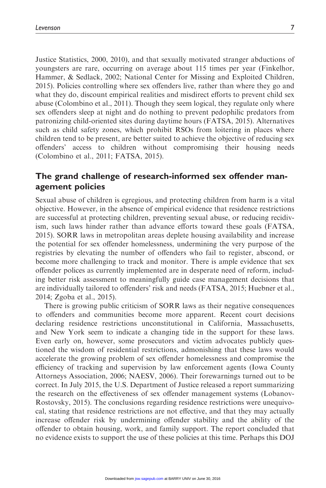Justice Statistics, 2000, 2010), and that sexually motivated stranger abductions of youngsters are rare, occurring on average about 115 times per year (Finkelhor, Hammer, & Sedlack, 2002; National Center for Missing and Exploited Children, 2015). Policies controlling where sex offenders live, rather than where they go and what they do, discount empirical realities and misdirect efforts to prevent child sex abuse (Colombino et al., 2011). Though they seem logical, they regulate only where sex offenders sleep at night and do nothing to prevent pedophilic predators from patronizing child-oriented sites during daytime hours (FATSA, 2015). Alternatives such as child safety zones, which prohibit RSOs from loitering in places where children tend to be present, are better suited to achieve the objective of reducing sex offenders' access to children without compromising their housing needs (Colombino et al., 2011; FATSA, 2015).

# The grand challenge of research-informed sex offender management policies

Sexual abuse of children is egregious, and protecting children from harm is a vital objective. However, in the absence of empirical evidence that residence restrictions are successful at protecting children, preventing sexual abuse, or reducing recidivism, such laws hinder rather than advance efforts toward these goals (FATSA, 2015). SORR laws in metropolitan areas deplete housing availability and increase the potential for sex offender homelessness, undermining the very purpose of the registries by elevating the number of offenders who fail to register, abscond, or become more challenging to track and monitor. There is ample evidence that sex offender polices as currently implemented are in desperate need of reform, including better risk assessment to meaningfully guide case management decisions that are individually tailored to offenders' risk and needs (FATSA, 2015; Huebner et al., 2014; Zgoba et al., 2015).

There is growing public criticism of SORR laws as their negative consequences to offenders and communities become more apparent. Recent court decisions declaring residence restrictions unconstitutional in California, Massachusetts, and New York seem to indicate a changing tide in the support for these laws. Even early on, however, some prosecutors and victim advocates publicly questioned the wisdom of residential restrictions, admonishing that these laws would accelerate the growing problem of sex offender homelessness and compromise the efficiency of tracking and supervision by law enforcement agents (Iowa County Attorneys Association, 2006; NAESV, 2006). Their forewarnings turned out to be correct. In July 2015, the U.S. Department of Justice released a report summarizing the research on the effectiveness of sex offender management systems (Lobanov-Rostovsky, 2015). The conclusions regarding residence restrictions were unequivocal, stating that residence restrictions are not effective, and that they may actually increase offender risk by undermining offender stability and the ability of the offender to obtain housing, work, and family support. The report concluded that no evidence exists to support the use of these policies at this time. Perhaps this DOJ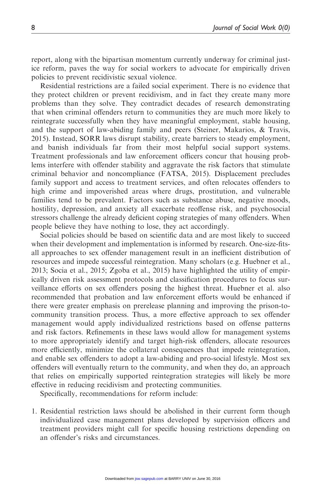report, along with the bipartisan momentum currently underway for criminal justice reform, paves the way for social workers to advocate for empirically driven policies to prevent recidivistic sexual violence.

Residential restrictions are a failed social experiment. There is no evidence that they protect children or prevent recidivism, and in fact they create many more problems than they solve. They contradict decades of research demonstrating that when criminal offenders return to communities they are much more likely to reintegrate successfully when they have meaningful employment, stable housing, and the support of law-abiding family and peers (Steiner, Makarios, & Travis, 2015). Instead, SORR laws disrupt stability, create barriers to steady employment, and banish individuals far from their most helpful social support systems. Treatment professionals and law enforcement officers concur that housing problems interfere with offender stability and aggravate the risk factors that stimulate criminal behavior and noncompliance (FATSA, 2015). Displacement precludes family support and access to treatment services, and often relocates offenders to high crime and impoverished areas where drugs, prostitution, and vulnerable families tend to be prevalent. Factors such as substance abuse, negative moods, hostility, depression, and anxiety all exacerbate reoffense risk, and psychosocial stressors challenge the already deficient coping strategies of many offenders. When people believe they have nothing to lose, they act accordingly.

Social policies should be based on scientific data and are most likely to succeed when their development and implementation is informed by research. One-size-fitsall approaches to sex offender management result in an inefficient distribution of resources and impede successful reintegration. Many scholars (e.g. Huebner et al., 2013; Socia et al., 2015; Zgoba et al., 2015) have highlighted the utility of empirically driven risk assessment protocols and classification procedures to focus surveillance efforts on sex offenders posing the highest threat. Huebner et al. also recommended that probation and law enforcement efforts would be enhanced if there were greater emphasis on prerelease planning and improving the prison-tocommunity transition process. Thus, a more effective approach to sex offender management would apply individualized restrictions based on offense patterns and risk factors. Refinements in these laws would allow for management systems to more appropriately identify and target high-risk offenders, allocate resources more efficiently, minimize the collateral consequences that impede reintegration, and enable sex offenders to adopt a law-abiding and pro-social lifestyle. Most sex offenders will eventually return to the community, and when they do, an approach that relies on empirically supported reintegration strategies will likely be more effective in reducing recidivism and protecting communities.

Specifically, recommendations for reform include:

1. Residential restriction laws should be abolished in their current form though individualized case management plans developed by supervision officers and treatment providers might call for specific housing restrictions depending on an offender's risks and circumstances.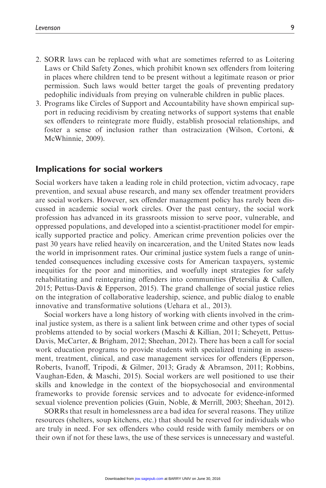- 2. SORR laws can be replaced with what are sometimes referred to as Loitering Laws or Child Safety Zones, which prohibit known sex offenders from loitering in places where children tend to be present without a legitimate reason or prior permission. Such laws would better target the goals of preventing predatory pedophilic individuals from preying on vulnerable children in public places.
- 3. Programs like Circles of Support and Accountability have shown empirical support in reducing recidivism by creating networks of support systems that enable sex offenders to reintegrate more fluidly, establish prosocial relationships, and foster a sense of inclusion rather than ostracization (Wilson, Cortoni, & McWhinnie, 2009).

### Implications for social workers

Social workers have taken a leading role in child protection, victim advocacy, rape prevention, and sexual abuse research, and many sex offender treatment providers are social workers. However, sex offender management policy has rarely been discussed in academic social work circles. Over the past century, the social work profession has advanced in its grassroots mission to serve poor, vulnerable, and oppressed populations, and developed into a scientist-practitioner model for empirically supported practice and policy. American crime prevention policies over the past 30 years have relied heavily on incarceration, and the United States now leads the world in imprisonment rates. Our criminal justice system fuels a range of unintended consequences including excessive costs for American taxpayers, systemic inequities for the poor and minorities, and woefully inept strategies for safely rehabilitating and reintegrating offenders into communities (Petersilia & Cullen, 2015; Pettus-Davis & Epperson, 2015). The grand challenge of social justice relies on the integration of collaborative leadership, science, and public dialog to enable innovative and transformative solutions (Uehara et al., 2013).

Social workers have a long history of working with clients involved in the criminal justice system, as there is a salient link between crime and other types of social problems attended to by social workers (Maschi & Killian, 2011; Scheyett, Pettus-Davis, McCarter, & Brigham, 2012; Sheehan, 2012). There has been a call for social work education programs to provide students with specialized training in assessment, treatment, clinical, and case management services for offenders (Epperson, Roberts, Ivanoff, Tripodi, & Gilmer, 2013; Grady & Abramson, 2011; Robbins, Vaughan-Eden, & Maschi, 2015). Social workers are well positioned to use their skills and knowledge in the context of the biopsychosocial and environmental frameworks to provide forensic services and to advocate for evidence-informed sexual violence prevention policies (Guin, Noble, & Merrill, 2003; Sheehan, 2012).

SORRs that result in homelessness are a bad idea for several reasons. They utilize resources (shelters, soup kitchens, etc.) that should be reserved for individuals who are truly in need. For sex offenders who could reside with family members or on their own if not for these laws, the use of these services is unnecessary and wasteful.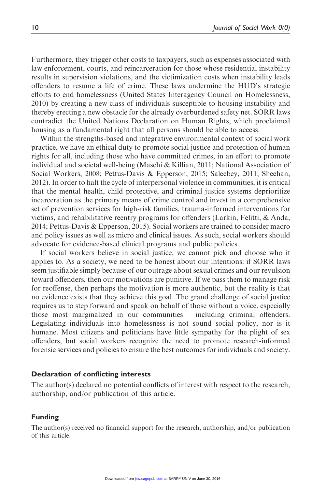Furthermore, they trigger other costs to taxpayers, such as expenses associated with law enforcement, courts, and reincarceration for those whose residential instability results in supervision violations, and the victimization costs when instability leads offenders to resume a life of crime. These laws undermine the HUD's strategic efforts to end homelessness (United States Interagency Council on Homelessness, 2010) by creating a new class of individuals susceptible to housing instability and thereby erecting a new obstacle for the already overburdened safety net. SORR laws contradict the United Nations Declaration on Human Rights, which proclaimed housing as a fundamental right that all persons should be able to access.

Within the strengths-based and integrative environmental context of social work practice, we have an ethical duty to promote social justice and protection of human rights for all, including those who have committed crimes, in an effort to promote individual and societal well-being (Maschi & Killian, 2011; National Association of Social Workers, 2008; Pettus-Davis & Epperson, 2015; Saleebey, 2011; Sheehan, 2012). In order to halt the cycle of interpersonal violence in communities, it is critical that the mental health, child protective, and criminal justice systems deprioritize incarceration as the primary means of crime control and invest in a comprehensive set of prevention services for high-risk families, trauma-informed interventions for victims, and rehabilitative reentry programs for offenders (Larkin, Felitti, & Anda, 2014; Pettus-Davis & Epperson, 2015). Social workers are trained to consider macro and policy issues as well as micro and clinical issues. As such, social workers should advocate for evidence-based clinical programs and public policies.

If social workers believe in social justice, we cannot pick and choose who it applies to. As a society, we need to be honest about our intentions: if SORR laws seem justifiable simply because of our outrage about sexual crimes and our revulsion toward offenders, then our motivations are punitive. If we pass them to manage risk for reoffense, then perhaps the motivation is more authentic, but the reality is that no evidence exists that they achieve this goal. The grand challenge of social justice requires us to step forward and speak on behalf of those without a voice, especially those most marginalized in our communities – including criminal offenders. Legislating individuals into homelessness is not sound social policy, nor is it humane. Most citizens and politicians have little sympathy for the plight of sex offenders, but social workers recognize the need to promote research-informed forensic services and policies to ensure the best outcomes for individuals and society.

#### Declaration of conflicting interests

The author(s) declared no potential conflicts of interest with respect to the research, authorship, and/or publication of this article.

#### Funding

The author(s) received no financial support for the research, authorship, and/or publication of this article.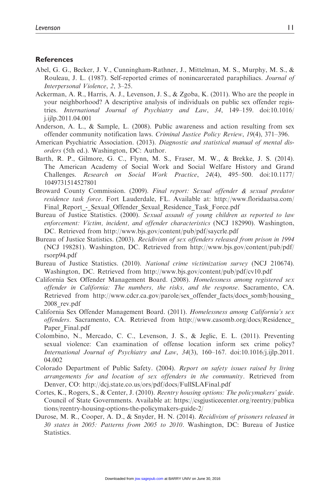#### **References**

- Abel, G. G., Becker, J. V., Cunningham-Rathner, J., Mittelman, M. S., Murphy, M. S., & Rouleau, J. L. (1987). Self-reported crimes of nonincarcerated paraphiliacs. Journal of Interpersonal Violence, 2, 3–25.
- Ackerman, A. R., Harris, A. J., Levenson, J. S., & Zgoba, K. (2011). Who are the people in your neighborhood? A descriptive analysis of individuals on public sex offender registries. International Journal of Psychiatry and Law, 34, 149–159. doi:10.1016/ j.ijlp.2011.04.001
- Anderson, A. L., & Sample, L. (2008). Public awareness and action resulting from sex offender community notification laws. Criminal Justice Policy Review, 19(4), 371–396.
- American Psychiatric Association. (2013). Diagnostic and statistical manual of mental disorders (5th ed.). Washington, DC: Author.
- Barth, R. P., Gilmore, G. C., Flynn, M. S., Fraser, M. W., & Brekke, J. S. (2014). The American Academy of Social Work and Social Welfare History and Grand Challenges. Research on Social Work Practice, 24(4), 495–500. doi:10.1177/ 1049731514527801
- Broward County Commission. (2009). Final report: Sexual offender & sexual predator residence task force. Fort Lauderdale, FL. Available at: [http://www.floridaatsa.com/](http://www.floridaatsa.com/Final_Report_-_Sexual_Offender_Sexual_Residence_Task_Force.pdf) Final Report - Sexual Offender Sexual Residence Task Force.pdf
- Bureau of Justice Statistics. (2000). Sexual assault of young children as reported to law enforcement: Victim, incident, and offender characteristics (NCJ 182990). Washington, DC. Retrieved from<http://www.bjs.gov/content/pub/pdf/saycrle.pdf>
- Bureau of Justice Statistics. (2003). Recidivism of sex offenders released from prison in 1994 (NCJ 198281). Washington, DC. Retrieved from [http://www.bjs.gov/content/pub/pdf/](http://www.bjs.gov/content/pub/pdf/rsorp94.pdf) [rsorp94.pdf](http://www.bjs.gov/content/pub/pdf/rsorp94.pdf)
- Bureau of Justice Statistics. (2010). National crime victimization survey (NCJ 210674). Washington, DC. Retrieved from<http://www.bjs.gov/content/pub/pdf/cv10.pdf>
- California Sex Offender Management Board. (2008). Homelessness among registered sex offender in California: The numbers, the risks, and the response. Sacramento, CA. Retrieved from http://www.cdcr.ca.gov/parole/sex offender facts/docs somb/housing [2008\\_rev.pdf](http://www.cdcr.ca.gov/parole/sex_offender_facts/docs_somb/housing_2008_rev.pdf)
- California Sex Offender Management Board. (2011). Homelessness among California's sex offenders. Sacramento, CA. Retrieved from [http://www.casomb.org/docs/Residence\\_](http://www.casomb.org/docs/Residence_Paper_Final.pdf) [Paper\\_Final.pdf](http://www.casomb.org/docs/Residence_Paper_Final.pdf)
- Colombino, N., Mercado, C. C., Levenson, J. S., & Jeglic, E. L. (2011). Preventing sexual violence: Can examination of offense location inform sex crime policy? International Journal of Psychiatry and Law, 34(3), 160–167. doi:10.1016/j.ijlp.2011. 04.002
- Colorado Department of Public Safety. (2004). Report on safety issues raised by living arrangements for and location of sex offenders in the community. Retrieved from Denver, CO:<http://dcj.state.co.us/ors/pdf/docs/FullSLAFinal.pdf>
- Cortes, K., Rogers, S., & Center, J. (2010). Reentry housing options: The policymakers' guide. Council of State Governments. Available at: [https://csgjusticecenter.org/reentry/publica](https://csgjusticecenter.org/reentry/publications/reentry-housing-options-the-policymakers-guide-2/) [tions/reentry-housing-options-the-policymakers-guide-2/](https://csgjusticecenter.org/reentry/publications/reentry-housing-options-the-policymakers-guide-2/)
- Durose, M. R., Cooper, A. D., & Snyder, H. N. (2014). Recidivism of prisoners released in 30 states in 2005: Patterns from 2005 to 2010. Washington, DC: Bureau of Justice Statistics.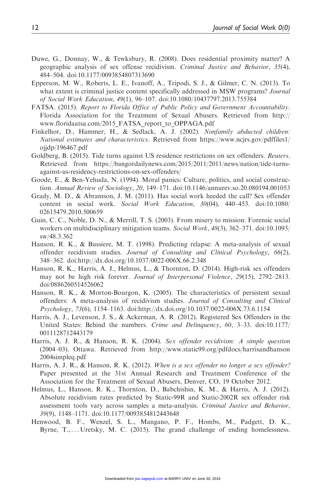- Duwe, G., Donnay, W., & Tewksbury, R. (2008). Does residential proximity matter? A geographic analysis of sex offense recidivism. Criminal Justice and Behavior, 35(4), 484–504. doi:10.1177/0093854807313690
- Epperson, M. W., Roberts, L. E., Ivanoff, A., Tripodi, S. J., & Gilmer, C. N. (2013). To what extent is criminal justice content specifically addressed in MSW programs? Journal of Social Work Education, 49(1), 96–107. doi:10.1080/10437797.2013.755384
- FATSA. (2015). Report to Florida Office of Public Policy and Government Accountability. Florida Association for the Treatment of Sexual Abusers. Retrieved from [http://](http://www.floridaatsa.com/2015_FATSA_report_to_OPPAGA.pdf) [www.floridaatsa.com/2015\\_FATSA\\_report\\_to\\_OPPAGA.pdf](http://www.floridaatsa.com/2015_FATSA_report_to_OPPAGA.pdf)
- Finkelhor, D., Hammer, H., & Sedlack, A. J. (2002). Nonfamily abducted children: National estimates and characteristics. Retrieved from [https://www.ncjrs.gov/pdffiles1/](https://www.ncjrs.gov/pdffiles1/ojjdp/196467.pdf) [ojjdp/196467.pdf](https://www.ncjrs.gov/pdffiles1/ojjdp/196467.pdf)
- Goldberg, B. (2015). Tide turns against US residence restrictions on sex offenders. Reuters, Retrieved from [https://bangordailynews.com/2015/2011/2011/news/nation/tide-turns](https://bangordailynews.com/2015/2011/2011/news/nation/tide-turns-against-us-residency-restrictions-on-sex-offenders/)[against-us-residency-restrictions-on-sex-offenders/](https://bangordailynews.com/2015/2011/2011/news/nation/tide-turns-against-us-residency-restrictions-on-sex-offenders/)
- Goode, E., & Ben-Yehuda, N. (1994). Moral panics: Culture, politics, and social construction. Annual Review of Sociology, 20, 149–171. doi:10.1146/annurev.so.20.080194.001053
- Grady, M. D., & Abramson, J. M. (2011). Has social work heeded the call? Sex offender content in social work. Social Work Education, 30(04), 440–453. doi:10.1080/ 02615479.2010.500659
- Guin, C. C., Noble, D. N., & Merrill, T. S. (2003). From misery to mission: Forensic social workers on multidisciplinary mitigation teams. Social Work, 48(3), 362–371. doi:10.1093/ sw/48.3.362
- Hanson, R. K., & Bussiere, M. T. (1998). Predicting relapse: A meta-analysis of sexual offender recidivism studies. Journal of Consulting and Clinical Psychology, 66(2), 348–362. doi:<http://dx.doi.org/10.1037/0022-006X.66.2.348>
- Hanson, R. K., Harris, A. J., Helmus, L., & Thornton, D. (2014). High-risk sex offenders may not be high risk forever. Journal of Interpersonal Violence, 29(15), 2792–2813. doi:0886260514526062
- Hanson, R. K., & Morton-Bourgon, K. (2005). The characteristics of persistent sexual offenders: A meta-analysis of recidivism studies. Journal of Consulting and Clinical Psychology, 73(6), 1154–1163. doi:<http://dx.doi.org/10.1037/0022-006X.73.6.1154>
- Harris, A. J., Levenson, J. S., & Ackerman, A. R. (2012). Registered Sex Offenders in the United States: Behind the numbers. Crime and Delinquency, 60, 3-33. doi:10.1177/ 0011128712443179
- Harris, A. J. R., & Hanson, R. K. (2004). Sex offender recidivism: A simple question (2004–03). Ottawa. Retrieved from [http://www.static99.org/pdfdocs/harrisandhanson](http://www.static99.org/pdfdocs/harrisandhanson2004simpleq.pdf) [2004simpleq.pdf](http://www.static99.org/pdfdocs/harrisandhanson2004simpleq.pdf)
- Harris, A. J. R., & Hanson, R. K. (2012). When is a sex offender no longer a sex offender? Paper presented at the 31st Annual Research and Treatment Conference of the Association for the Treatment of Sexual Abusers, Denver, CO, 19 October 2012.
- Helmus, L., Hanson, R. K., Thornton, D., Babchishin, K. M., & Harris, A. J. (2012). Absolute recidivism rates predicted by Static-99R and Static-2002R sex offender risk assessment tools vary across samples a meta-analysis. Criminal Justice and Behavior, 39(9), 1148–1171. doi:10.1177/0093854812443648
- Henwood, B. F., Wenzel, S. L., Mangano, P. F., Hombs, M., Padgett, D. K., Byrne, T., ... Uretsky, M. C. (2015). The grand challenge of ending homelessness.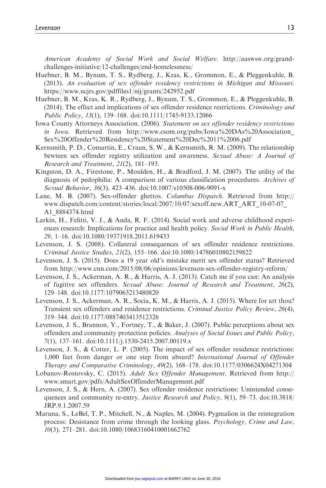American Academy of Social Work and Social Welfare. [http://aaswsw.org/grand](http://aaswsw.org/grand-challenges-initiative/12-challenges/end-homelessness/)[challenges-initiative/12-challenges/end-homelessness/](http://aaswsw.org/grand-challenges-initiative/12-challenges/end-homelessness/)

- Huebner, B. M., Bynum, T. S., Rydberg, J., Kras, K., Grommon, E., & Pleggenkuhle, B. (2013). An evaluation of sex offender residency restrictions in Michigan and Missouri. <https://www.ncjrs.gov/pdffiles1/nij/grants/242952.pdf>
- Huebner, B. M., Kras, K. R., Rydberg, J., Bynum, T. S., Grommon, E., & Pleggenkuhle, B. (2014). The effect and implications of sex offender residence restrictions. Criminology and Public Policy, 13(1), 139–168. doi:10.1111/1745-9133.12066
- Iowa County Attorneys Association. (2006). Statement on sex offender residency restrictions in Iowa. Retrieved from http://www.csom.org/pubs/Iowa%20DAs%20Association [Sex%20Offender%20Residency%20Statement%20Dec%2011%2006.pdf](http://www.csom.org/pubs/Iowa%20DAs%20Association_Sex%20Offender%20Residency%20Statement%20Dec%2011%2006.pdf)
- Kernsmith, P. D., Comartin, E., Craun, S. W., & Kernsmith, R. M. (2009). The relationship bewteen sex offender registry utilization and awareness. Sexual Abuse: A Journal of Research and Treatment, 21(2), 181–193.
- Kingston, D. A., Firestone, P., Moulden, H., & Bradford, J. M. (2007). The utility of the diagnosis of pedophilia: A comparison of various classification procedures. Archives of Sexual Behavior, 36(3), 423–436. doi:10.1007/s10508-006-9091-x
- Lane, M. B. (2007). Sex-offender ghettos. Columbus Dispatch. Retrieved from [http://](http://www.dispatch.com/content/stories/local/2007/10/07/sexoff.new.ART_ART_10-07-07_A1_8884374.html) [www.dispatch.com/content/stories/local/2007/10/07/sexoff.new.ART\\_ART\\_10-07-07\\_](http://www.dispatch.com/content/stories/local/2007/10/07/sexoff.new.ART_ART_10-07-07_A1_8884374.html) [A1\\_8884374.html](http://www.dispatch.com/content/stories/local/2007/10/07/sexoff.new.ART_ART_10-07-07_A1_8884374.html)
- Larkin, H., Felitti, V. J., & Anda, R. F. (2014). Social work and adverse childhood experiences research: Implications for practice and health policy. Social Work in Public Health, 29, 1–16. doi:10.1080/19371918.2011.619433
- Levenson, J. S. (2008). Collateral consequences of sex offender residence restrictions. Criminal Justice Studies, 21(2), 153–166. doi:10.1080/14786010802159822
- Levenson, J. S. (2015). Does a 19 year old's mistake merit sex offender status? Retrieved from<http://www.cnn.com/2015/08/06/opinions/levenson-sex-offender-registry-reform/>
- Levenson, J. S., Ackerman, A. R., & Harris, A. J. (2013). Catch me if you can: An analysis of fugitive sex offenders. Sexual Abuse: Journal of Research and Treatment, 26(2), 129–148. doi:10.1177/1079063213480820
- Levenson, J. S., Ackerman, A. R., Socia, K. M., & Harris, A. J. (2015). Where for art thou? Transient sex offenders and residence restrictions. Criminal Justice Policy Review, 26(4), 319–344. doi:10.1177/0887403413512326
- Levenson, J. S., Brannon, Y., Fortney, T., & Baker, J. (2007). Public perceptions about sex offenders and community protection policies. Analyses of Social Issues and Public Policy, 7(1), 137–161. doi:10.1111/j.1530-2415.2007.00119.x
- Levenson, J. S., & Cotter, L. P. (2005). The impact of sex offender residence restrictions: 1,000 feet from danger or one step from absurd? International Journal of Offender Therapy and Comparative Criminology, 49(2), 168–178. doi:10.1177/0306624X04271304
- Lobanov-Rostovsky, C. (2015). Adult Sex Offender Management. Retrieved from [http://](http://www.smart.gov/pdfs/AdultSexOffenderManagement.pdf) [www.smart.gov/pdfs/AdultSexOffenderManagement.pdf](http://www.smart.gov/pdfs/AdultSexOffenderManagement.pdf)
- Levenson, J. S., & Hern, A. (2007). Sex offender residence restrictions: Unintended consequences and community re-entry. Justice Research and Policy, 9(1), 59–73. doi:10.3818/ JRP.9.1.2007.59
- Maruna, S., LeBel, T. P., Mitchell, N., & Naples, M. (2004). Pygmalion in the reintegration process: Desistance from crime through the looking glass. Psychology, Crime and Law, 10(3), 271–281. doi:10.1080/10683160410001662762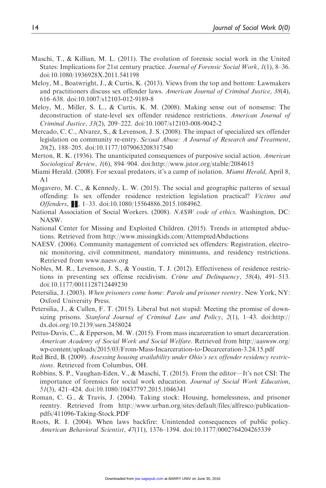- Maschi, T., & Killian, M. L. (2011). The evolution of forensic social work in the United States: Implications for 21st century practice. Journal of Forensic Social Work, 1(1), 8–36. doi:10.1080/1936928X.2011.541198
- Meloy, M., Boatwright, J., & Curtis, K. (2013). Views from the top and bottom: Lawmakers and practitioners discuss sex offender laws. American Journal of Criminal Justice, 38(4), 616–638. doi:10.1007/s12103-012-9189-8
- Meloy, M., Miller, S. L., & Curtis, K. M. (2008). Making sense out of nonsense: The deconstruction of state-level sex offender residence restrictions. American Journal of Criminal Justice, 33(2), 209–222. doi:10.1007/s12103-008-9042-2
- Mercado, C. C., Alvarez, S., & Levenson, J. S. (2008). The impact of specialized sex offender legislation on community re-entry. Sexual Abuse: A Journal of Research and Treatment, 20(2), 188–205. doi:10.1177/1079063208317540
- Merton, R. K. (1936). The unanticipated consequences of purposive social action. American Sociological Review, 1(6), 894–904. doi[:http://www.jstor.org/stable/2084615](http://www.jstor.org/stable/2084615)
- Miami Herald. (2008). For sexual predators, it's a camp of isolation. *Miami Herald*, April 8,  $A<sub>1</sub>$
- Mogavero, M. C., & Kennedy, L. W. (2015). The social and geographic patterns of sexual offending: Is sex offender residence restriction legislation practical? Victims and Offenders, **■**, 1–33. doi:10.1080/15564886.2015.1084962.
- National Association of Social Workers. (2008). NASW code of ethics. Washington, DC: NASW.
- National Center for Missing and Exploited Children. (2015). Trends in attempted abductions. Retrieved from<http://www.missingkids.com/AttemptedAbductions>
- NAESV. (2006). Community management of convicted sex offenders: Registration, electronic monitoring, civil commitment, mandatory minimums, and residency restrictions. Retrieved from<www.naesv.org>
- Nobles, M. R., Levenson, J. S., & Youstin, T. J. (2012). Effectiveness of residence restrictions in preventing sex offense recidivism. Crime and Delinquency, 58(4), 491–513. doi:10.1177/0011128712449230
- Petersilia, J. (2003). When prisoners come home: Parole and prisoner reentry. New York, NY: Oxford University Press.
- Petersilia, J., & Cullen, F. T. (2015). Liberal but not stupid: Meeting the promise of downsizing prisons. Stanford Journal of Criminal Law and Policy, 2(1), 1-43. doi:[http://](http://dx.doi.org/10.2139/ssrn.2458024) [dx.doi.org/10.2139/ssrn.2458024](http://dx.doi.org/10.2139/ssrn.2458024)
- Pettus-Davis, C., & Epperson, M. W. (2015). From mass incarceration to smart decarceration. American Academy of Social Work and Social Welfare. Retrieved from [http://aaswsw.org/](http://aaswsw.org/wp-content/uploads/2015/03/From-Mass-Incarceration-to-Decarceration-3.24.15.pdf) [wp-content/uploads/2015/03/From-Mass-Incarceration-to-Decarceration-3.24.15.pdf](http://aaswsw.org/wp-content/uploads/2015/03/From-Mass-Incarceration-to-Decarceration-3.24.15.pdf)
- Red Bird, B. (2009). Assessing housing availability under Ohio's sex offender residency restrictions. Retrieved from Columbus, OH.
- Robbins, S. P., Vaughan-Eden, V., & Maschi, T. (2015). From the editor—It's not CSI: The importance of forensics for social work education. Journal of Social Work Education, 51(3), 421–424. doi:10.1080/10437797.2015.1046341
- Roman, C. G., & Travis, J. (2004). Taking stock: Housing, homelessness, and prisoner reentry. Retrieved from [http://www.urban.org/sites/default/files/alfresco/publication](http://www.urban.org/sites/default/files/alfresco/publication-pdfs/411096-Taking-Stock.PDF)[pdfs/411096-Taking-Stock.PDF](http://www.urban.org/sites/default/files/alfresco/publication-pdfs/411096-Taking-Stock.PDF)
- Roots, R. I. (2004). When laws backfire: Unintended consequences of public policy. American Behavioral Scientist, 47(11), 1376–1394. doi:10.1177/0002764204265339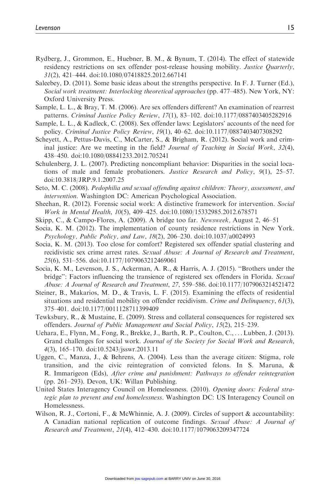- Rydberg, J., Grommon, E., Huebner, B. M., & Bynum, T. (2014). The effect of statewide residency restrictions on sex offender post-release housing mobility. *Justice Quarterly*, 31(2), 421–444. doi:10.1080/07418825.2012.667141
- Saleebey, D. (2011). Some basic ideas about the strengths perspective. In F. J. Turner (Ed.), Social work treatment: Interlocking theoretical approaches (pp. 477–485). New York, NY: Oxford University Press.
- Sample, L. L., & Bray, T. M. (2006). Are sex offenders different? An examination of rearrest patterns. Criminal Justice Policy Review, 17(1), 83–102. doi:10.1177/0887403405282916
- Sample, L. L., & Kadleck, C. (2008). Sex offender laws: Legislators' accounts of the need for policy. Criminal Justice Policy Review, 19(1), 40–62. doi:10.1177/0887403407308292
- Scheyett, A., Pettus-Davis, C., McCarter, S., & Brigham, R. (2012). Social work and criminal justice: Are we meeting in the field? Journal of Teaching in Social Work, 32(4), 438–450. doi:10.1080/08841233.2012.705241
- Schulenberg, J. L. (2007). Predicting noncompliant behavior: Disparities in the social locations of male and female probationers. Justice Research and Policy, 9(1), 25–57. doi:10.3818/JRP.9.1.2007.25
- Seto, M. C. (2008). Pedophilia and sexual offending against children: Theory, assessment, and intervention. Washington DC: American Psychological Association.
- Sheehan, R. (2012). Forensic social work: A distinctive framework for intervention. Social Work in Mental Health, 10(5), 409–425. doi:10.1080/15332985.2012.678571
- Skipp, C., & Campo-Flores, A. (2009). A bridge too far. Newsweek, August 2, 46–51
- Socia, K. M. (2012). The implementation of county residence restrictions in New York. Psychology, Public Policy, and Law, 18(2), 206–230. doi:10.1037/a0024993
- Socia, K. M. (2013). Too close for comfort? Registered sex offender spatial clustering and recidivistic sex crime arrest rates. Sexual Abuse: A Journal of Research and Treatment, 25(6), 531–556. doi:10.1177/1079063212469061
- Socia, K. M., Levenson, J. S., Ackerman, A. R., & Harris, A. J. (2015). ''Brothers under the bridge": Factors influencing the transience of registered sex offenders in Florida. Sexual Abuse: A Journal of Research and Treatment, 27, 559–586. doi:10.1177/1079063214521472
- Steiner, B., Makarios, M. D., & Travis, L. F. (2015). Examining the effects of residential situations and residential mobility on offender recidivism. Crime and Delinquency, 61(3), 375–401. doi:10.1177/0011128711399409
- Tewksbury, R., & Mustaine, E. (2009). Stress and collateral consequences for registered sex offenders. Journal of Public Management and Social Policy, 15(2), 215–239.
- Uehara, E., Flynn, M., Fong, R., Brekke, J., Barth, R. P., Coulton, C., ...Lubben, J. (2013). Grand challenges for social work. Journal of the Society for Social Work and Research, 4(3), 165–170. doi:10.5243/jsswr.2013.11
- Uggen, C., Manza, J., & Behrens, A. (2004). Less than the average citizen: Stigma, role transition, and the civic reintegration of convicted felons. In S. Maruna, & R. Immarigeon (Eds), After crime and punishment: Pathways to offender reintegration (pp. 261–293). Devon, UK: Willan Publishing.
- United States Interagency Council on Homelessness. (2010). Opening doors: Federal strategic plan to prevent and end homelessness. Washington DC: US Interagency Council on Homelessness.
- Wilson, R. J., Cortoni, F., & McWhinnie, A. J. (2009). Circles of support & accountability: A Canadian national replication of outcome findings. Sexual Abuse: A Journal of Research and Treatment, 21(4), 412–430. doi:10.1177/1079063209347724